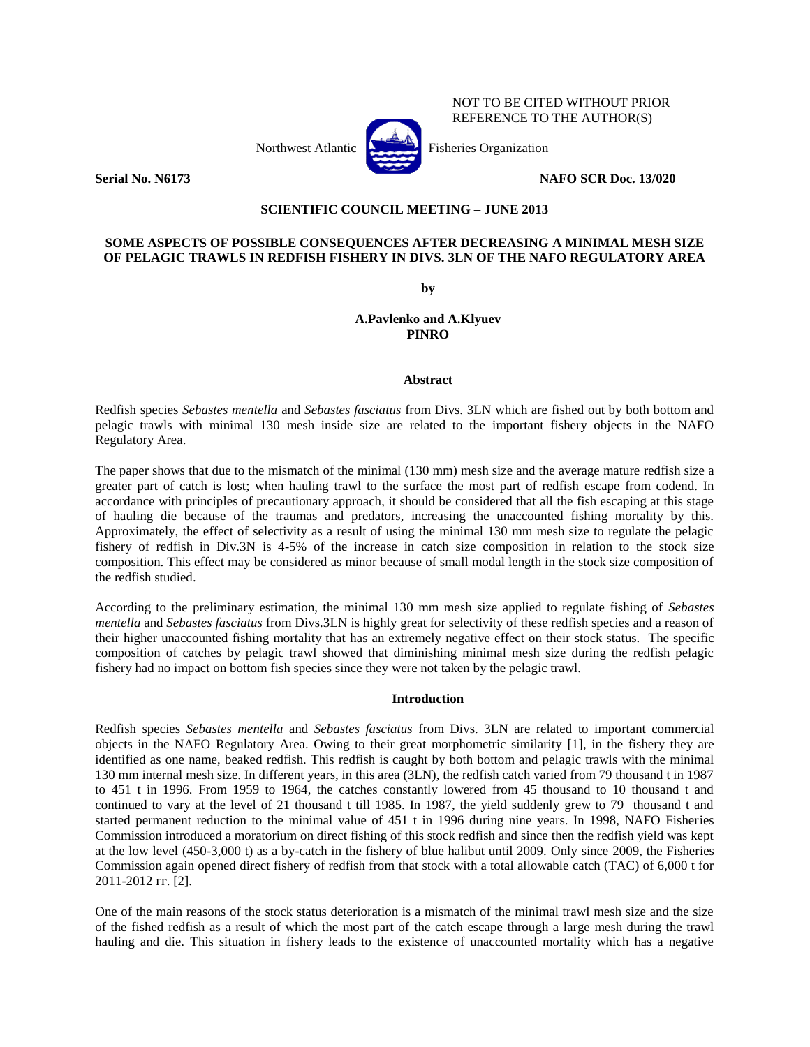

## NOT TO BE CITED WITHOUT PRIOR REFERENCE TO THE AUTHOR(S)

**Serial No. N6173 NAFO SCR Doc. 13/020**

## **SCIENTIFIC COUNCIL MEETING – JUNE 2013**

# **SOME ASPECTS OF POSSIBLE CONSEQUENCES AFTER DECREASING A MINIMAL MESH SIZE OF PELAGIC TRAWLS IN REDFISH FISHERY IN DIVS. 3LN OF THE NAFO REGULATORY AREA**

**by**

# **A.Pavlenko and A.Klyuev PINRO**

### **Abstract**

Redfish species *Sebastes mentella* and *Sebastes fasciatus* from Divs. 3LN which are fished out by both bottom and pelagic trawls with minimal 130 mesh inside size are related to the important fishery objects in the NAFO Regulatory Area.

The paper shows that due to the mismatch of the minimal (130 mm) mesh size and the average mature redfish size a greater part of catch is lost; when hauling trawl to the surface the most part of redfish escape from codend. In accordance with principles of precautionary approach, it should be considered that all the fish escaping at this stage of hauling die because of the traumas and predators, increasing the unaccounted fishing mortality by this. Approximately, the effect of selectivity as a result of using the minimal 130 mm mesh size to regulate the pelagic fishery of redfish in Div.3N is 4-5% of the increase in catch size composition in relation to the stock size composition. This effect may be considered as minor because of small modal length in the stock size composition of the redfish studied.

According to the preliminary estimation, the minimal 130 mm mesh size applied to regulate fishing of *Sebastes mentella* and *Sebastes fasciatus* from Divs.3LN is highly great for selectivity of these redfish species and a reason of their higher unaccounted fishing mortality that has an extremely negative effect on their stock status. The specific composition of catches by pelagic trawl showed that diminishing minimal mesh size during the redfish pelagic fishery had no impact on bottom fish species since they were not taken by the pelagic trawl.

## **Introduction**

Redfish species *Sebastes mentella* and *Sebastes fasciatus* from Divs. 3LN are related to important commercial objects in the NAFO Regulatory Area. Owing to their great morphometric similarity [1], in the fishery they are identified as one name, beaked redfish. This redfish is caught by both bottom and pelagic trawls with the minimal 130 mm internal mesh size. In different years, in this area (3LN), the redfish catch varied from 79 thousand t in 1987 to 451 t in 1996. From 1959 to 1964, the catches constantly lowered from 45 thousand to 10 thousand t and continued to vary at the level of 21 thousand t till 1985. In 1987, the yield suddenly grew to 79 thousand t and started permanent reduction to the minimal value of 451 t in 1996 during nine years. In 1998, NAFO Fisheries Commission introduced a moratorium on direct fishing of this stock redfish and since then the redfish yield was kept at the low level (450-3,000 t) as a by-catch in the fishery of blue halibut until 2009. Only since 2009, the Fisheries Commission again opened direct fishery of redfish from that stock with a total allowable catch (TAC) of 6,000 t for 2011-2012 гг. [2].

One of the main reasons of the stock status deterioration is a mismatch of the minimal trawl mesh size and the size of the fished redfish as a result of which the most part of the catch escape through a large mesh during the trawl hauling and die. This situation in fishery leads to the existence of unaccounted mortality which has a negative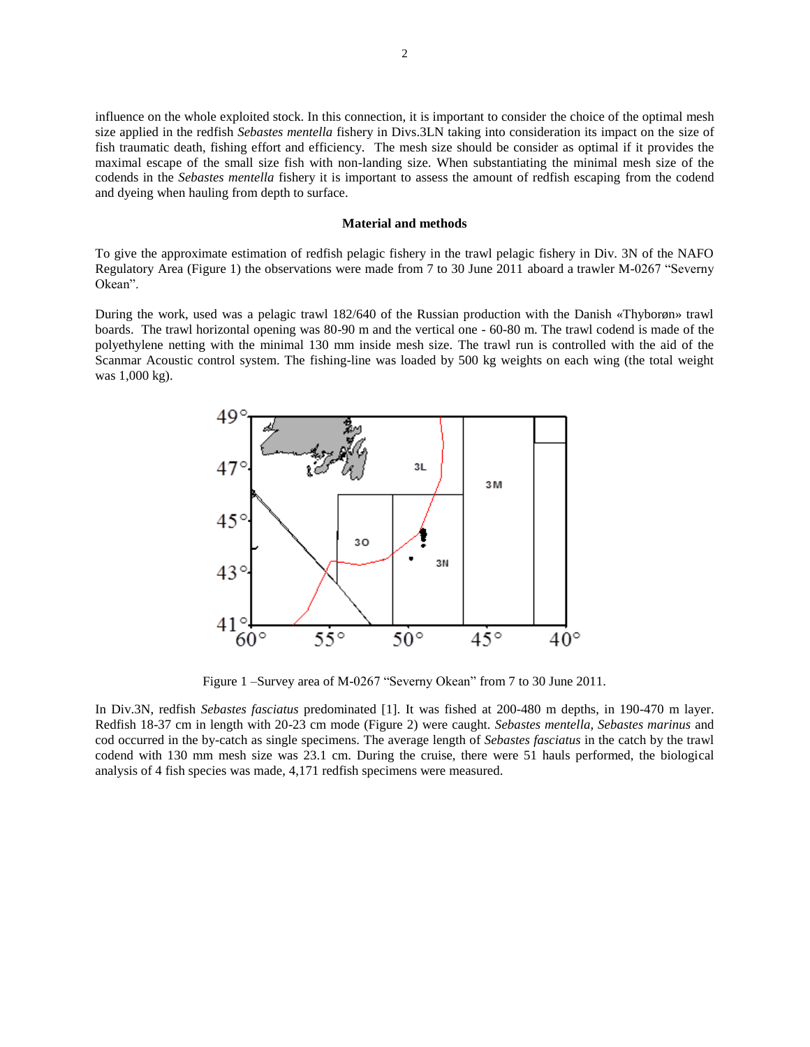influence on the whole exploited stock. In this connection, it is important to consider the choice of the optimal mesh size applied in the redfish *Sebastes mentella* fishery in Divs.3LN taking into consideration its impact on the size of fish traumatic death, fishing effort and efficiency. The mesh size should be consider as optimal if it provides the maximal escape of the small size fish with non-landing size. When substantiating the minimal mesh size of the codends in the *Sebastes mentella* fishery it is important to assess the amount of redfish escaping from the codend and dyeing when hauling from depth to surface.

#### **Material and methods**

To give the approximate estimation of redfish pelagic fishery in the trawl pelagic fishery in Div. 3N of the NAFO Regulatory Area (Figure 1) the observations were made from 7 to 30 June 2011 aboard a trawler M-0267 "Severny Okean".

During the work, used was a pelagic trawl 182/640 of the Russian production with the Danish «Thyborøn» trawl boards. The trawl horizontal opening was 80-90 m and the vertical one - 60-80 m. The trawl codend is made of the polyethylene netting with the minimal 130 mm inside mesh size. The trawl run is controlled with the aid of the Scanmar Acoustic control system. The fishing-line was loaded by 500 kg weights on each wing (the total weight was 1,000 kg).



Figure 1 –Survey area of M-0267 "Severny Okean" from 7 to 30 June 2011.

In Div.3N, redfish *Sebastes fasciatus* predominated [1]. It was fished at 200-480 m depths, in 190-470 m layer. Redfish 18-37 cm in length with 20-23 cm mode (Figure 2) were caught. *Sebastes mentella, Sebastes marinus* and cod occurred in the by-catch as single specimens. The average length of *Sebastes fasciatus* in the catch by the trawl codend with 130 mm mesh size was 23.1 cm. During the cruise, there were 51 hauls performed, the biological analysis of 4 fish species was made, 4,171 redfish specimens were measured.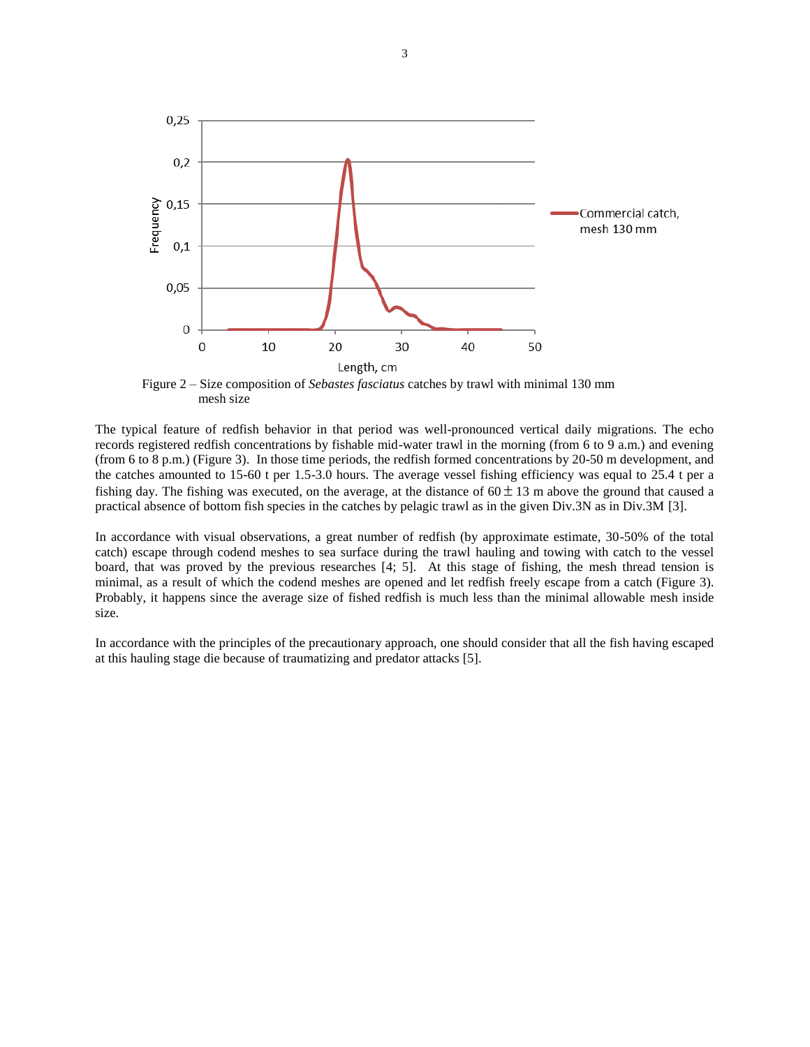

Figure 2 – Size composition of *Sebastes fasciatus* catches by trawl with minimal 130 mm mesh size

The typical feature of redfish behavior in that period was well-pronounced vertical daily migrations. The echo records registered redfish concentrations by fishable mid-water trawl in the morning (from 6 to 9 a.m.) and evening (from 6 to 8 p.m.) (Figure 3). In those time periods, the redfish formed concentrations by 20-50 m development, and the catches amounted to 15-60 t per 1.5-3.0 hours. The average vessel fishing efficiency was equal to 25.4 t per a fishing day. The fishing was executed, on the average, at the distance of  $60 \pm 13$  m above the ground that caused a practical absence of bottom fish species in the catches by pelagic trawl as in the given Div.3N as in Div.3M [3].

In accordance with visual observations, a great number of redfish (by approximate estimate, 30-50% of the total catch) escape through codend meshes to sea surface during the trawl hauling and towing with catch to the vessel board, that was proved by the previous researches [4; 5]. At this stage of fishing, the mesh thread tension is minimal, as a result of which the codend meshes are opened and let redfish freely escape from a catch (Figure 3). Probably, it happens since the average size of fished redfish is much less than the minimal allowable mesh inside size.

In accordance with the principles of the precautionary approach, one should consider that all the fish having escaped at this hauling stage die because of traumatizing and predator attacks [5].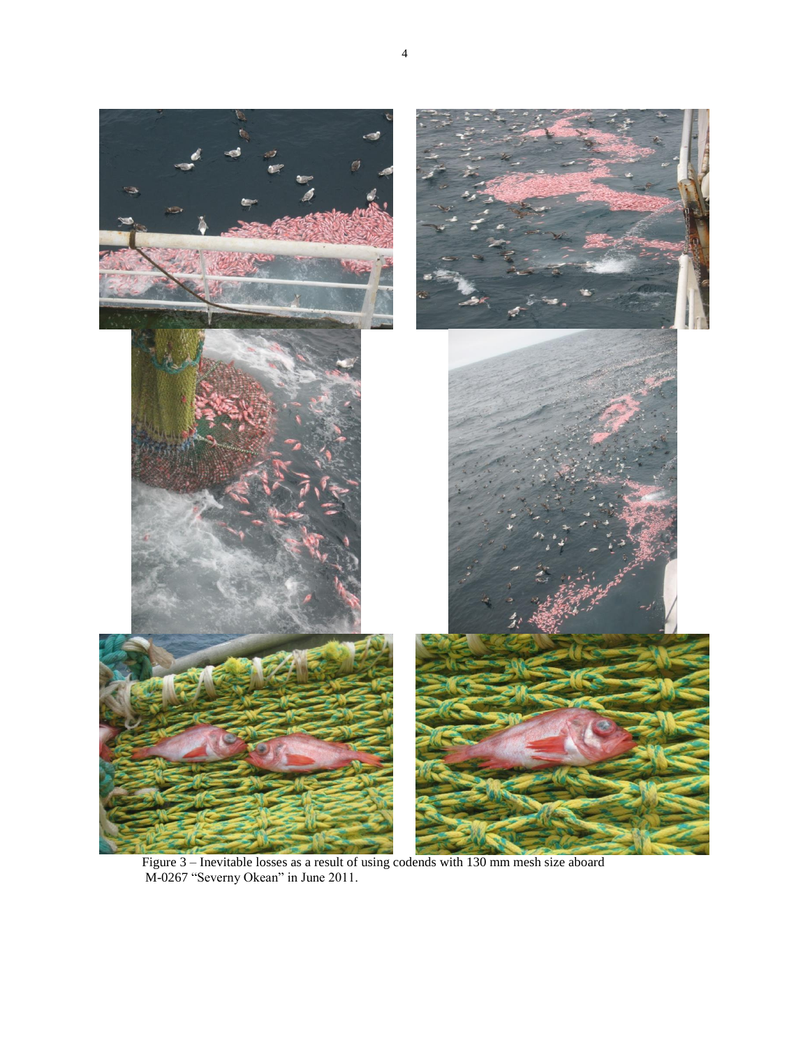

Figure 3 – Inevitable losses as a result of using codends with 130 mm mesh size aboard M-0267 "Severny Okean" in June 2011.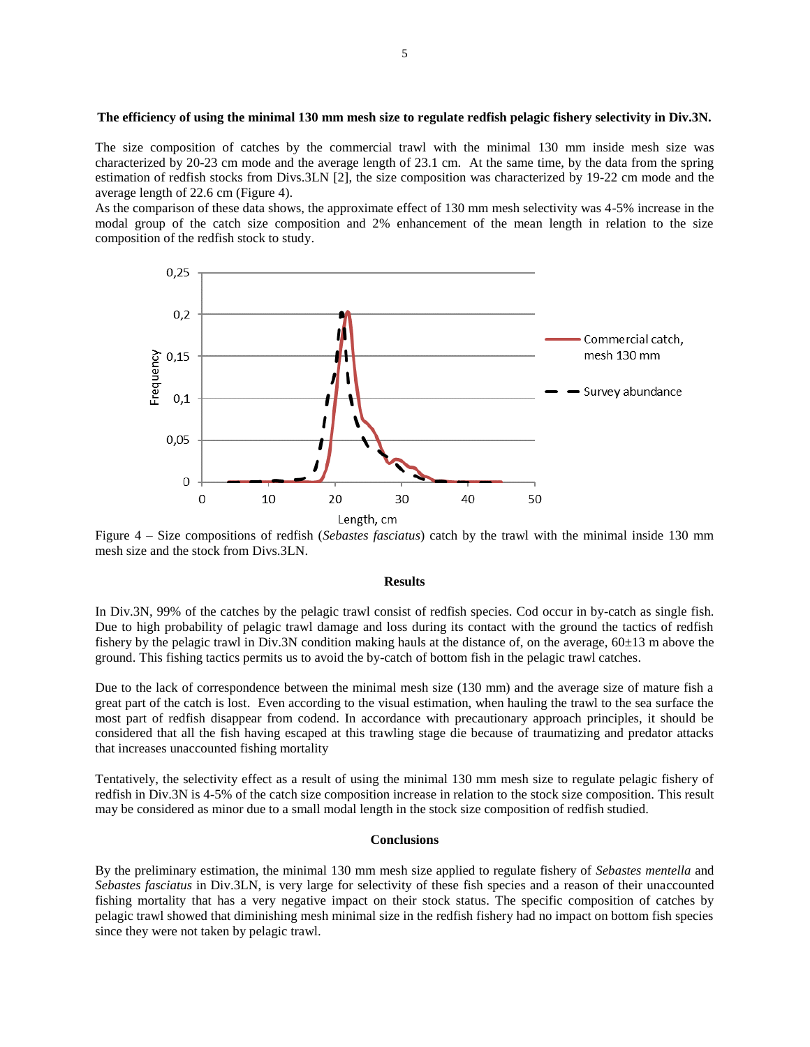### **The efficiency of using the minimal 130 mm mesh size to regulate redfish pelagic fishery selectivity in Div.3N.**

The size composition of catches by the commercial trawl with the minimal 130 mm inside mesh size was characterized by 20-23 cm mode and the average length of 23.1 cm. At the same time, by the data from the spring estimation of redfish stocks from Divs.3LN [2], the size composition was characterized by 19-22 cm mode and the average length of 22.6 cm (Figure 4).

As the comparison of these data shows, the approximate effect of 130 mm mesh selectivity was 4-5% increase in the modal group of the catch size composition and 2% enhancement of the mean length in relation to the size composition of the redfish stock to study.



Figure 4 – Size compositions of redfish (*Sebastes fasciatus*) catch by the trawl with the minimal inside 130 mm mesh size and the stock from Divs.3LN.

### **Results**

In Div.3N, 99% of the catches by the pelagic trawl consist of redfish species. Cod occur in by-catch as single fish. Due to high probability of pelagic trawl damage and loss during its contact with the ground the tactics of redfish fishery by the pelagic trawl in Div.3N condition making hauls at the distance of, on the average, 60±13 m above the ground. This fishing tactics permits us to avoid the by-catch of bottom fish in the pelagic trawl catches.

Due to the lack of correspondence between the minimal mesh size (130 mm) and the average size of mature fish a great part of the catch is lost. Even according to the visual estimation, when hauling the trawl to the sea surface the most part of redfish disappear from codend. In accordance with precautionary approach principles, it should be considered that all the fish having escaped at this trawling stage die because of traumatizing and predator attacks that increases unaccounted fishing mortality

Tentatively, the selectivity effect as a result of using the minimal 130 mm mesh size to regulate pelagic fishery of redfish in Div.3N is 4-5% of the catch size composition increase in relation to the stock size composition. This result may be considered as minor due to a small modal length in the stock size composition of redfish studied.

### **Conclusions**

By the preliminary estimation, the minimal 130 mm mesh size applied to regulate fishery of *Sebastes mentella* and *Sebastes fasciatus* in Div.3LN, is very large for selectivity of these fish species and a reason of their unaccounted fishing mortality that has a very negative impact on their stock status. The specific composition of catches by pelagic trawl showed that diminishing mesh minimal size in the redfish fishery had no impact on bottom fish species since they were not taken by pelagic trawl.